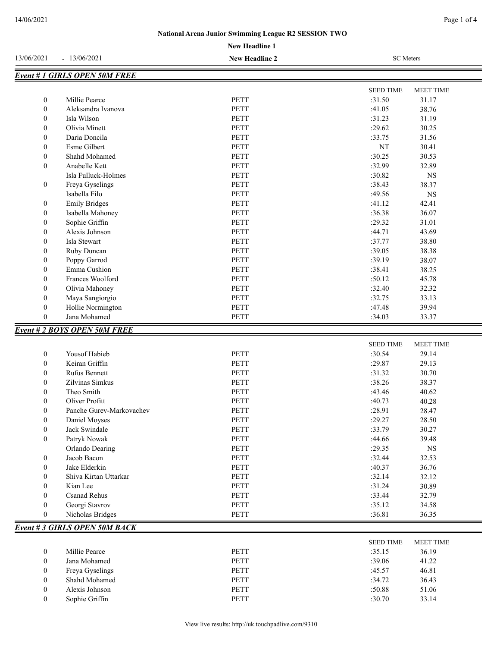*Event # 3 GIRLS OPEN 50M BACK*

SEED TIME MEET TIME

|                  |                                     | <b>New Headline 1</b> |                                      |  |
|------------------|-------------------------------------|-----------------------|--------------------------------------|--|
| 13/06/2021       | $-13/06/2021$                       | <b>New Headline 2</b> | <b>SC</b> Meters                     |  |
|                  | <b>Event #1 GIRLS OPEN 50M FREE</b> |                       |                                      |  |
|                  |                                     |                       | <b>SEED TIME</b><br><b>MEET TIME</b> |  |
| $\mathbf{0}$     | Millie Pearce                       | <b>PETT</b>           | :31.50<br>31.17                      |  |
| $\mathbf{0}$     | Aleksandra Ivanova                  | <b>PETT</b>           | :41.05<br>38.76                      |  |
| $\mathbf{0}$     | Isla Wilson                         | PETT                  | :31.23<br>31.19                      |  |
| $\mathbf{0}$     | Olivia Minett                       | <b>PETT</b>           | :29.62<br>30.25                      |  |
| 0                | Daria Doncila                       | PETT                  | 31.56<br>:33.75                      |  |
| $\overline{0}$   | <b>Esme Gilbert</b>                 | <b>PETT</b>           | NT<br>30.41                          |  |
| $\boldsymbol{0}$ | Shahd Mohamed                       | <b>PETT</b>           | :30.25<br>30.53                      |  |
| $\overline{0}$   | Anabelle Kett                       | PETT                  | :32.99<br>32.89                      |  |
|                  | Isla Fulluck-Holmes                 | PETT                  | :30.82<br>$_{\rm NS}$                |  |
| $\boldsymbol{0}$ | Freya Gyselings                     | <b>PETT</b>           | :38.43<br>38.37                      |  |
|                  | Isabella Filo                       | PETT                  | :49.56<br>$_{\rm NS}$                |  |
| $\boldsymbol{0}$ | <b>Emily Bridges</b>                | <b>PETT</b>           | :41.12<br>42.41                      |  |
| 0                | Isabella Mahoney                    | PETT                  | :36.38<br>36.07                      |  |
| 0                | Sophie Griffin                      | <b>PETT</b>           | :29.32<br>31.01                      |  |
| $\boldsymbol{0}$ | Alexis Johnson                      | <b>PETT</b>           | :44.71<br>43.69                      |  |
| $\mathbf{0}$     | Isla Stewart                        | <b>PETT</b>           | :37.77<br>38.80                      |  |
| $\boldsymbol{0}$ | Ruby Duncan                         | <b>PETT</b>           | :39.05<br>38.38                      |  |
| $\overline{0}$   | Poppy Garrod                        | <b>PETT</b>           | :39.19<br>38.07                      |  |
| $\overline{0}$   | Emma Cushion                        | <b>PETT</b>           | :38.41<br>38.25                      |  |
| $\overline{0}$   | Frances Woolford                    | PETT                  | :50.12<br>45.78                      |  |
| $\overline{0}$   | Olivia Mahoney                      | <b>PETT</b>           | :32.40<br>32.32                      |  |
| $\boldsymbol{0}$ | Maya Sangiorgio                     | PETT                  | :32.75<br>33.13                      |  |
| $\mathbf{0}$     | Hollie Normington                   | <b>PETT</b>           | :47.48<br>39.94                      |  |
| $\Omega$         | Jana Mohamed                        | <b>PETT</b>           | :34.03<br>33.37                      |  |
|                  | <b>Event #2 BOYS OPEN 50M FREE</b>  |                       |                                      |  |
|                  |                                     |                       | <b>MEET TIME</b><br><b>SEED TIME</b> |  |
| $\boldsymbol{0}$ | Yousof Habieb                       | <b>PETT</b>           | :30.54<br>29.14                      |  |
| $\boldsymbol{0}$ | Keiran Griffin                      | <b>PETT</b>           | :29.87<br>29.13                      |  |
| $\boldsymbol{0}$ | <b>Rufus Bennett</b>                | <b>PETT</b>           | :31.32<br>30.70                      |  |
| $\boldsymbol{0}$ | Zilvinas Simkus                     | PETT                  | :38.26<br>38.37                      |  |
| $\mathbf{0}$     | Theo Smith                          | <b>PETT</b>           | :43.46<br>40.62                      |  |

0 Oliver Profitt **PETT** 20.28 40.28 0 Panche Gurev-Markovachev PETT : 28.91 28.47 0 Daniel Moyses 28.50 0 Jack Swindale PETT : 33.79 30.27 0 Patryk Nowak PETT :144.66 39.48 Orlando Dearing PETT :29.35 NS 0 Jacob Bacon PETT : 32.44 32.53 0 Jake Elderkin 26.76 PETT 36.76 0 Shiva Kirtan Uttarkar PETT :32.14 32.12 0 Kian Lee 30.89 PETT : 31.24 30.89 0 Csanad Rehus **PETT** : 33.44 32.79 0 Georgi Stavrov PETT 34.58 0 Nicholas Bridges PETT : 36.81 36.35

|  |  | View live results: http://uk.touchpadlive.com/9310 |
|--|--|----------------------------------------------------|
|--|--|----------------------------------------------------|

0 Millie Pearce 20 PETT 35.15 36.19 0 Jana Mohamed **PETT** :39.06 41.22 0 Freya Gyselings PETT :45.57 46.81 0 Shahd Mohamed PETT 34.72 36.43 0 Alexis Johnson PETT : 50.88 51.06 0 Sophie Griffin 23.14 PETT 30.70 33.14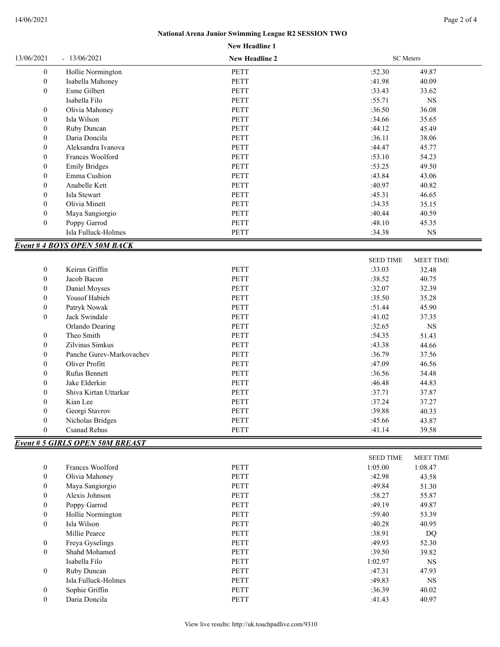## **New Headline 1 National Arena Junior Swimming League R2 SESSION TWO**

| $\boldsymbol{0}$<br>Hollie Normington<br><b>PETT</b><br>:52.30<br>49.87<br>$\boldsymbol{0}$<br>PETT<br>:41.98<br>40.09<br>Isabella Mahoney<br>$\boldsymbol{0}$<br>Esme Gilbert<br><b>PETT</b><br>:33.43<br>33.62<br>Isabella Filo<br>PETT<br>:55.71<br>$_{\rm NS}$<br>Olivia Mahoney<br>PETT<br>:36.50<br>$\boldsymbol{0}$<br>36.08<br>$\boldsymbol{0}$<br>Isla Wilson<br><b>PETT</b><br>:34.66<br>35.65<br>:44.12<br>$\boldsymbol{0}$<br>Ruby Duncan<br>PETT<br>45.49<br>:36.11<br>$\boldsymbol{0}$<br>Daria Doncila<br>PETT<br>38.06<br><b>PETT</b><br>$\boldsymbol{0}$<br>Aleksandra Ivanova<br>:44.47<br>45.77<br><b>PETT</b><br>$\boldsymbol{0}$<br>Frances Woolford<br>:53.10<br>54.23<br>$\boldsymbol{0}$<br><b>Emily Bridges</b><br><b>PETT</b><br>:53.25<br>49.50<br>$\boldsymbol{0}$<br>Emma Cushion<br><b>PETT</b><br>:43.84<br>43.06<br>$\boldsymbol{0}$<br>Anabelle Kett<br><b>PETT</b><br>:40.97<br>40.82<br>$\boldsymbol{0}$<br>Isla Stewart<br>PETT<br>:45.31<br>46.65<br>$\boldsymbol{0}$<br>Olivia Minett<br>PETT<br>:34.35<br>35.15<br><b>PETT</b><br>:40.44<br>$\boldsymbol{0}$<br>40.59<br>Maya Sangiorgio<br>$\boldsymbol{0}$<br>PETT<br>:48.10<br>Poppy Garrod<br>45.35<br>Isla Fulluck-Holmes<br>PETT<br>:34.38<br>$_{\rm NS}$<br><b>Event #4 BOYS OPEN 50M BACK</b><br><b>SEED TIME</b><br>MEET TIME<br>Keiran Griffin<br><b>PETT</b><br>$\boldsymbol{0}$<br>:33.03<br>32.48<br>$\boldsymbol{0}$<br>Jacob Bacon<br><b>PETT</b><br>:38.52<br>40.75<br>PETT<br>:32.07<br>32.39<br>$\boldsymbol{0}$<br>Daniel Moyses<br>$\boldsymbol{0}$<br>Yousof Habieb<br><b>PETT</b><br>:35.50<br>35.28<br>$\boldsymbol{0}$<br>Patryk Nowak<br>PETT<br>:51.44<br>45.90<br>$\boldsymbol{0}$<br>Jack Swindale<br>PETT<br>:41.02<br>37.35<br><b>PETT</b><br>$_{\rm NS}$<br>Orlando Dearing<br>:32.65<br>Theo Smith<br>$\boldsymbol{0}$<br><b>PETT</b><br>:54.35<br>51.43<br>$\boldsymbol{0}$<br>Zilvinas Simkus<br>PETT<br>:43.38<br>44.66<br>$\boldsymbol{0}$<br>PETT<br>:36.79<br>Panche Gurev-Markovachev<br>37.56<br>:47.09<br>$\boldsymbol{0}$<br>Oliver Profitt<br>PETT<br>46.56<br>$\boldsymbol{0}$<br>Rufus Bennett<br>PETT<br>:36.56<br>34.48<br>$\boldsymbol{0}$<br>Jake Elderkin<br>PETT<br>:46.48<br>44.83<br><b>PETT</b><br>$\boldsymbol{0}$<br>Shiva Kirtan Uttarkar<br>:37.71<br>37.87<br>$\boldsymbol{0}$<br>PETT<br>:37.24<br>Kian Lee<br>37.27<br>$\mathbf{0}$<br>Georgi Stavrov<br>PETT<br>:39.88<br>40.33<br>$\boldsymbol{0}$<br>Nicholas Bridges<br><b>PETT</b><br>:45.66<br>43.87<br>$\boldsymbol{0}$<br><b>Csanad Rehus</b><br>PETT<br>:41.14<br>39.58<br><b>Event # 5 GIRLS OPEN 50M BREAST</b><br><b>SEED TIME</b><br>MEET TIME<br>PETT<br>$\boldsymbol{0}$<br>Frances Woolford<br>1:05.00<br>1:08.47<br>$\boldsymbol{0}$<br>Olivia Mahoney<br>PETT<br>:42.98<br>43.58<br>Maya Sangiorgio<br>PETT<br>:49.84<br>51.30<br>$\boldsymbol{0}$<br>Alexis Johnson<br><b>PETT</b><br>:58.27<br>55.87<br>$\boldsymbol{0}$<br><b>PETT</b><br>:49.19<br>$\boldsymbol{0}$<br>Poppy Garrod<br>49.87<br>$\boldsymbol{0}$<br>Hollie Normington<br>PETT<br>:59.40<br>53.39<br>$\boldsymbol{0}$<br>Isla Wilson<br><b>PETT</b><br>:40.28<br>40.95<br><b>PETT</b><br>Millie Pearce<br>:38.91<br><b>DQ</b><br>Freya Gyselings<br><b>PETT</b><br>:49.93<br>52.30<br>$\boldsymbol{0}$<br>$\boldsymbol{0}$<br>Shahd Mohamed<br>PETT<br>:39.50<br>39.82<br>Isabella Filo<br><b>PETT</b><br>1:02.97<br>$_{\rm NS}$<br>:47.31<br>$\boldsymbol{0}$<br>Ruby Duncan<br><b>PETT</b><br>47.93<br>Isla Fulluck-Holmes<br>PETT<br>:49.83<br>$_{\rm NS}$<br>Sophie Griffin<br>PETT<br>:36.39<br>40.02<br>$\boldsymbol{0}$<br>Daria Doncila<br>PETT<br>:41.43<br>40.97<br>$\boldsymbol{0}$ | 13/06/2021 | $-13/06/2021$ | <b>New Headline 2</b> | SC Meters |  |
|-----------------------------------------------------------------------------------------------------------------------------------------------------------------------------------------------------------------------------------------------------------------------------------------------------------------------------------------------------------------------------------------------------------------------------------------------------------------------------------------------------------------------------------------------------------------------------------------------------------------------------------------------------------------------------------------------------------------------------------------------------------------------------------------------------------------------------------------------------------------------------------------------------------------------------------------------------------------------------------------------------------------------------------------------------------------------------------------------------------------------------------------------------------------------------------------------------------------------------------------------------------------------------------------------------------------------------------------------------------------------------------------------------------------------------------------------------------------------------------------------------------------------------------------------------------------------------------------------------------------------------------------------------------------------------------------------------------------------------------------------------------------------------------------------------------------------------------------------------------------------------------------------------------------------------------------------------------------------------------------------------------------------------------------------------------------------------------------------------------------------------------------------------------------------------------------------------------------------------------------------------------------------------------------------------------------------------------------------------------------------------------------------------------------------------------------------------------------------------------------------------------------------------------------------------------------------------------------------------------------------------------------------------------------------------------------------------------------------------------------------------------------------------------------------------------------------------------------------------------------------------------------------------------------------------------------------------------------------------------------------------------------------------------------------------------------------------------------------------------------------------------------------------------------------------------------------------------------------------------------------------------------------------------------------------------------------------------------------------------------------------------------------------------------------------------------------------------------------------------------------------------------------------------------------------------------------------------------------------------------------------------------------------------------------------------------|------------|---------------|-----------------------|-----------|--|
|                                                                                                                                                                                                                                                                                                                                                                                                                                                                                                                                                                                                                                                                                                                                                                                                                                                                                                                                                                                                                                                                                                                                                                                                                                                                                                                                                                                                                                                                                                                                                                                                                                                                                                                                                                                                                                                                                                                                                                                                                                                                                                                                                                                                                                                                                                                                                                                                                                                                                                                                                                                                                                                                                                                                                                                                                                                                                                                                                                                                                                                                                                                                                                                                                                                                                                                                                                                                                                                                                                                                                                                                                                                                                         |            |               |                       |           |  |
|                                                                                                                                                                                                                                                                                                                                                                                                                                                                                                                                                                                                                                                                                                                                                                                                                                                                                                                                                                                                                                                                                                                                                                                                                                                                                                                                                                                                                                                                                                                                                                                                                                                                                                                                                                                                                                                                                                                                                                                                                                                                                                                                                                                                                                                                                                                                                                                                                                                                                                                                                                                                                                                                                                                                                                                                                                                                                                                                                                                                                                                                                                                                                                                                                                                                                                                                                                                                                                                                                                                                                                                                                                                                                         |            |               |                       |           |  |
|                                                                                                                                                                                                                                                                                                                                                                                                                                                                                                                                                                                                                                                                                                                                                                                                                                                                                                                                                                                                                                                                                                                                                                                                                                                                                                                                                                                                                                                                                                                                                                                                                                                                                                                                                                                                                                                                                                                                                                                                                                                                                                                                                                                                                                                                                                                                                                                                                                                                                                                                                                                                                                                                                                                                                                                                                                                                                                                                                                                                                                                                                                                                                                                                                                                                                                                                                                                                                                                                                                                                                                                                                                                                                         |            |               |                       |           |  |
|                                                                                                                                                                                                                                                                                                                                                                                                                                                                                                                                                                                                                                                                                                                                                                                                                                                                                                                                                                                                                                                                                                                                                                                                                                                                                                                                                                                                                                                                                                                                                                                                                                                                                                                                                                                                                                                                                                                                                                                                                                                                                                                                                                                                                                                                                                                                                                                                                                                                                                                                                                                                                                                                                                                                                                                                                                                                                                                                                                                                                                                                                                                                                                                                                                                                                                                                                                                                                                                                                                                                                                                                                                                                                         |            |               |                       |           |  |
|                                                                                                                                                                                                                                                                                                                                                                                                                                                                                                                                                                                                                                                                                                                                                                                                                                                                                                                                                                                                                                                                                                                                                                                                                                                                                                                                                                                                                                                                                                                                                                                                                                                                                                                                                                                                                                                                                                                                                                                                                                                                                                                                                                                                                                                                                                                                                                                                                                                                                                                                                                                                                                                                                                                                                                                                                                                                                                                                                                                                                                                                                                                                                                                                                                                                                                                                                                                                                                                                                                                                                                                                                                                                                         |            |               |                       |           |  |
|                                                                                                                                                                                                                                                                                                                                                                                                                                                                                                                                                                                                                                                                                                                                                                                                                                                                                                                                                                                                                                                                                                                                                                                                                                                                                                                                                                                                                                                                                                                                                                                                                                                                                                                                                                                                                                                                                                                                                                                                                                                                                                                                                                                                                                                                                                                                                                                                                                                                                                                                                                                                                                                                                                                                                                                                                                                                                                                                                                                                                                                                                                                                                                                                                                                                                                                                                                                                                                                                                                                                                                                                                                                                                         |            |               |                       |           |  |
|                                                                                                                                                                                                                                                                                                                                                                                                                                                                                                                                                                                                                                                                                                                                                                                                                                                                                                                                                                                                                                                                                                                                                                                                                                                                                                                                                                                                                                                                                                                                                                                                                                                                                                                                                                                                                                                                                                                                                                                                                                                                                                                                                                                                                                                                                                                                                                                                                                                                                                                                                                                                                                                                                                                                                                                                                                                                                                                                                                                                                                                                                                                                                                                                                                                                                                                                                                                                                                                                                                                                                                                                                                                                                         |            |               |                       |           |  |
|                                                                                                                                                                                                                                                                                                                                                                                                                                                                                                                                                                                                                                                                                                                                                                                                                                                                                                                                                                                                                                                                                                                                                                                                                                                                                                                                                                                                                                                                                                                                                                                                                                                                                                                                                                                                                                                                                                                                                                                                                                                                                                                                                                                                                                                                                                                                                                                                                                                                                                                                                                                                                                                                                                                                                                                                                                                                                                                                                                                                                                                                                                                                                                                                                                                                                                                                                                                                                                                                                                                                                                                                                                                                                         |            |               |                       |           |  |
|                                                                                                                                                                                                                                                                                                                                                                                                                                                                                                                                                                                                                                                                                                                                                                                                                                                                                                                                                                                                                                                                                                                                                                                                                                                                                                                                                                                                                                                                                                                                                                                                                                                                                                                                                                                                                                                                                                                                                                                                                                                                                                                                                                                                                                                                                                                                                                                                                                                                                                                                                                                                                                                                                                                                                                                                                                                                                                                                                                                                                                                                                                                                                                                                                                                                                                                                                                                                                                                                                                                                                                                                                                                                                         |            |               |                       |           |  |
|                                                                                                                                                                                                                                                                                                                                                                                                                                                                                                                                                                                                                                                                                                                                                                                                                                                                                                                                                                                                                                                                                                                                                                                                                                                                                                                                                                                                                                                                                                                                                                                                                                                                                                                                                                                                                                                                                                                                                                                                                                                                                                                                                                                                                                                                                                                                                                                                                                                                                                                                                                                                                                                                                                                                                                                                                                                                                                                                                                                                                                                                                                                                                                                                                                                                                                                                                                                                                                                                                                                                                                                                                                                                                         |            |               |                       |           |  |
|                                                                                                                                                                                                                                                                                                                                                                                                                                                                                                                                                                                                                                                                                                                                                                                                                                                                                                                                                                                                                                                                                                                                                                                                                                                                                                                                                                                                                                                                                                                                                                                                                                                                                                                                                                                                                                                                                                                                                                                                                                                                                                                                                                                                                                                                                                                                                                                                                                                                                                                                                                                                                                                                                                                                                                                                                                                                                                                                                                                                                                                                                                                                                                                                                                                                                                                                                                                                                                                                                                                                                                                                                                                                                         |            |               |                       |           |  |
|                                                                                                                                                                                                                                                                                                                                                                                                                                                                                                                                                                                                                                                                                                                                                                                                                                                                                                                                                                                                                                                                                                                                                                                                                                                                                                                                                                                                                                                                                                                                                                                                                                                                                                                                                                                                                                                                                                                                                                                                                                                                                                                                                                                                                                                                                                                                                                                                                                                                                                                                                                                                                                                                                                                                                                                                                                                                                                                                                                                                                                                                                                                                                                                                                                                                                                                                                                                                                                                                                                                                                                                                                                                                                         |            |               |                       |           |  |
|                                                                                                                                                                                                                                                                                                                                                                                                                                                                                                                                                                                                                                                                                                                                                                                                                                                                                                                                                                                                                                                                                                                                                                                                                                                                                                                                                                                                                                                                                                                                                                                                                                                                                                                                                                                                                                                                                                                                                                                                                                                                                                                                                                                                                                                                                                                                                                                                                                                                                                                                                                                                                                                                                                                                                                                                                                                                                                                                                                                                                                                                                                                                                                                                                                                                                                                                                                                                                                                                                                                                                                                                                                                                                         |            |               |                       |           |  |
|                                                                                                                                                                                                                                                                                                                                                                                                                                                                                                                                                                                                                                                                                                                                                                                                                                                                                                                                                                                                                                                                                                                                                                                                                                                                                                                                                                                                                                                                                                                                                                                                                                                                                                                                                                                                                                                                                                                                                                                                                                                                                                                                                                                                                                                                                                                                                                                                                                                                                                                                                                                                                                                                                                                                                                                                                                                                                                                                                                                                                                                                                                                                                                                                                                                                                                                                                                                                                                                                                                                                                                                                                                                                                         |            |               |                       |           |  |
|                                                                                                                                                                                                                                                                                                                                                                                                                                                                                                                                                                                                                                                                                                                                                                                                                                                                                                                                                                                                                                                                                                                                                                                                                                                                                                                                                                                                                                                                                                                                                                                                                                                                                                                                                                                                                                                                                                                                                                                                                                                                                                                                                                                                                                                                                                                                                                                                                                                                                                                                                                                                                                                                                                                                                                                                                                                                                                                                                                                                                                                                                                                                                                                                                                                                                                                                                                                                                                                                                                                                                                                                                                                                                         |            |               |                       |           |  |
|                                                                                                                                                                                                                                                                                                                                                                                                                                                                                                                                                                                                                                                                                                                                                                                                                                                                                                                                                                                                                                                                                                                                                                                                                                                                                                                                                                                                                                                                                                                                                                                                                                                                                                                                                                                                                                                                                                                                                                                                                                                                                                                                                                                                                                                                                                                                                                                                                                                                                                                                                                                                                                                                                                                                                                                                                                                                                                                                                                                                                                                                                                                                                                                                                                                                                                                                                                                                                                                                                                                                                                                                                                                                                         |            |               |                       |           |  |
|                                                                                                                                                                                                                                                                                                                                                                                                                                                                                                                                                                                                                                                                                                                                                                                                                                                                                                                                                                                                                                                                                                                                                                                                                                                                                                                                                                                                                                                                                                                                                                                                                                                                                                                                                                                                                                                                                                                                                                                                                                                                                                                                                                                                                                                                                                                                                                                                                                                                                                                                                                                                                                                                                                                                                                                                                                                                                                                                                                                                                                                                                                                                                                                                                                                                                                                                                                                                                                                                                                                                                                                                                                                                                         |            |               |                       |           |  |
|                                                                                                                                                                                                                                                                                                                                                                                                                                                                                                                                                                                                                                                                                                                                                                                                                                                                                                                                                                                                                                                                                                                                                                                                                                                                                                                                                                                                                                                                                                                                                                                                                                                                                                                                                                                                                                                                                                                                                                                                                                                                                                                                                                                                                                                                                                                                                                                                                                                                                                                                                                                                                                                                                                                                                                                                                                                                                                                                                                                                                                                                                                                                                                                                                                                                                                                                                                                                                                                                                                                                                                                                                                                                                         |            |               |                       |           |  |
|                                                                                                                                                                                                                                                                                                                                                                                                                                                                                                                                                                                                                                                                                                                                                                                                                                                                                                                                                                                                                                                                                                                                                                                                                                                                                                                                                                                                                                                                                                                                                                                                                                                                                                                                                                                                                                                                                                                                                                                                                                                                                                                                                                                                                                                                                                                                                                                                                                                                                                                                                                                                                                                                                                                                                                                                                                                                                                                                                                                                                                                                                                                                                                                                                                                                                                                                                                                                                                                                                                                                                                                                                                                                                         |            |               |                       |           |  |
|                                                                                                                                                                                                                                                                                                                                                                                                                                                                                                                                                                                                                                                                                                                                                                                                                                                                                                                                                                                                                                                                                                                                                                                                                                                                                                                                                                                                                                                                                                                                                                                                                                                                                                                                                                                                                                                                                                                                                                                                                                                                                                                                                                                                                                                                                                                                                                                                                                                                                                                                                                                                                                                                                                                                                                                                                                                                                                                                                                                                                                                                                                                                                                                                                                                                                                                                                                                                                                                                                                                                                                                                                                                                                         |            |               |                       |           |  |
|                                                                                                                                                                                                                                                                                                                                                                                                                                                                                                                                                                                                                                                                                                                                                                                                                                                                                                                                                                                                                                                                                                                                                                                                                                                                                                                                                                                                                                                                                                                                                                                                                                                                                                                                                                                                                                                                                                                                                                                                                                                                                                                                                                                                                                                                                                                                                                                                                                                                                                                                                                                                                                                                                                                                                                                                                                                                                                                                                                                                                                                                                                                                                                                                                                                                                                                                                                                                                                                                                                                                                                                                                                                                                         |            |               |                       |           |  |
|                                                                                                                                                                                                                                                                                                                                                                                                                                                                                                                                                                                                                                                                                                                                                                                                                                                                                                                                                                                                                                                                                                                                                                                                                                                                                                                                                                                                                                                                                                                                                                                                                                                                                                                                                                                                                                                                                                                                                                                                                                                                                                                                                                                                                                                                                                                                                                                                                                                                                                                                                                                                                                                                                                                                                                                                                                                                                                                                                                                                                                                                                                                                                                                                                                                                                                                                                                                                                                                                                                                                                                                                                                                                                         |            |               |                       |           |  |
|                                                                                                                                                                                                                                                                                                                                                                                                                                                                                                                                                                                                                                                                                                                                                                                                                                                                                                                                                                                                                                                                                                                                                                                                                                                                                                                                                                                                                                                                                                                                                                                                                                                                                                                                                                                                                                                                                                                                                                                                                                                                                                                                                                                                                                                                                                                                                                                                                                                                                                                                                                                                                                                                                                                                                                                                                                                                                                                                                                                                                                                                                                                                                                                                                                                                                                                                                                                                                                                                                                                                                                                                                                                                                         |            |               |                       |           |  |
|                                                                                                                                                                                                                                                                                                                                                                                                                                                                                                                                                                                                                                                                                                                                                                                                                                                                                                                                                                                                                                                                                                                                                                                                                                                                                                                                                                                                                                                                                                                                                                                                                                                                                                                                                                                                                                                                                                                                                                                                                                                                                                                                                                                                                                                                                                                                                                                                                                                                                                                                                                                                                                                                                                                                                                                                                                                                                                                                                                                                                                                                                                                                                                                                                                                                                                                                                                                                                                                                                                                                                                                                                                                                                         |            |               |                       |           |  |
|                                                                                                                                                                                                                                                                                                                                                                                                                                                                                                                                                                                                                                                                                                                                                                                                                                                                                                                                                                                                                                                                                                                                                                                                                                                                                                                                                                                                                                                                                                                                                                                                                                                                                                                                                                                                                                                                                                                                                                                                                                                                                                                                                                                                                                                                                                                                                                                                                                                                                                                                                                                                                                                                                                                                                                                                                                                                                                                                                                                                                                                                                                                                                                                                                                                                                                                                                                                                                                                                                                                                                                                                                                                                                         |            |               |                       |           |  |
|                                                                                                                                                                                                                                                                                                                                                                                                                                                                                                                                                                                                                                                                                                                                                                                                                                                                                                                                                                                                                                                                                                                                                                                                                                                                                                                                                                                                                                                                                                                                                                                                                                                                                                                                                                                                                                                                                                                                                                                                                                                                                                                                                                                                                                                                                                                                                                                                                                                                                                                                                                                                                                                                                                                                                                                                                                                                                                                                                                                                                                                                                                                                                                                                                                                                                                                                                                                                                                                                                                                                                                                                                                                                                         |            |               |                       |           |  |
|                                                                                                                                                                                                                                                                                                                                                                                                                                                                                                                                                                                                                                                                                                                                                                                                                                                                                                                                                                                                                                                                                                                                                                                                                                                                                                                                                                                                                                                                                                                                                                                                                                                                                                                                                                                                                                                                                                                                                                                                                                                                                                                                                                                                                                                                                                                                                                                                                                                                                                                                                                                                                                                                                                                                                                                                                                                                                                                                                                                                                                                                                                                                                                                                                                                                                                                                                                                                                                                                                                                                                                                                                                                                                         |            |               |                       |           |  |
|                                                                                                                                                                                                                                                                                                                                                                                                                                                                                                                                                                                                                                                                                                                                                                                                                                                                                                                                                                                                                                                                                                                                                                                                                                                                                                                                                                                                                                                                                                                                                                                                                                                                                                                                                                                                                                                                                                                                                                                                                                                                                                                                                                                                                                                                                                                                                                                                                                                                                                                                                                                                                                                                                                                                                                                                                                                                                                                                                                                                                                                                                                                                                                                                                                                                                                                                                                                                                                                                                                                                                                                                                                                                                         |            |               |                       |           |  |
|                                                                                                                                                                                                                                                                                                                                                                                                                                                                                                                                                                                                                                                                                                                                                                                                                                                                                                                                                                                                                                                                                                                                                                                                                                                                                                                                                                                                                                                                                                                                                                                                                                                                                                                                                                                                                                                                                                                                                                                                                                                                                                                                                                                                                                                                                                                                                                                                                                                                                                                                                                                                                                                                                                                                                                                                                                                                                                                                                                                                                                                                                                                                                                                                                                                                                                                                                                                                                                                                                                                                                                                                                                                                                         |            |               |                       |           |  |
|                                                                                                                                                                                                                                                                                                                                                                                                                                                                                                                                                                                                                                                                                                                                                                                                                                                                                                                                                                                                                                                                                                                                                                                                                                                                                                                                                                                                                                                                                                                                                                                                                                                                                                                                                                                                                                                                                                                                                                                                                                                                                                                                                                                                                                                                                                                                                                                                                                                                                                                                                                                                                                                                                                                                                                                                                                                                                                                                                                                                                                                                                                                                                                                                                                                                                                                                                                                                                                                                                                                                                                                                                                                                                         |            |               |                       |           |  |
|                                                                                                                                                                                                                                                                                                                                                                                                                                                                                                                                                                                                                                                                                                                                                                                                                                                                                                                                                                                                                                                                                                                                                                                                                                                                                                                                                                                                                                                                                                                                                                                                                                                                                                                                                                                                                                                                                                                                                                                                                                                                                                                                                                                                                                                                                                                                                                                                                                                                                                                                                                                                                                                                                                                                                                                                                                                                                                                                                                                                                                                                                                                                                                                                                                                                                                                                                                                                                                                                                                                                                                                                                                                                                         |            |               |                       |           |  |
|                                                                                                                                                                                                                                                                                                                                                                                                                                                                                                                                                                                                                                                                                                                                                                                                                                                                                                                                                                                                                                                                                                                                                                                                                                                                                                                                                                                                                                                                                                                                                                                                                                                                                                                                                                                                                                                                                                                                                                                                                                                                                                                                                                                                                                                                                                                                                                                                                                                                                                                                                                                                                                                                                                                                                                                                                                                                                                                                                                                                                                                                                                                                                                                                                                                                                                                                                                                                                                                                                                                                                                                                                                                                                         |            |               |                       |           |  |
|                                                                                                                                                                                                                                                                                                                                                                                                                                                                                                                                                                                                                                                                                                                                                                                                                                                                                                                                                                                                                                                                                                                                                                                                                                                                                                                                                                                                                                                                                                                                                                                                                                                                                                                                                                                                                                                                                                                                                                                                                                                                                                                                                                                                                                                                                                                                                                                                                                                                                                                                                                                                                                                                                                                                                                                                                                                                                                                                                                                                                                                                                                                                                                                                                                                                                                                                                                                                                                                                                                                                                                                                                                                                                         |            |               |                       |           |  |
|                                                                                                                                                                                                                                                                                                                                                                                                                                                                                                                                                                                                                                                                                                                                                                                                                                                                                                                                                                                                                                                                                                                                                                                                                                                                                                                                                                                                                                                                                                                                                                                                                                                                                                                                                                                                                                                                                                                                                                                                                                                                                                                                                                                                                                                                                                                                                                                                                                                                                                                                                                                                                                                                                                                                                                                                                                                                                                                                                                                                                                                                                                                                                                                                                                                                                                                                                                                                                                                                                                                                                                                                                                                                                         |            |               |                       |           |  |
|                                                                                                                                                                                                                                                                                                                                                                                                                                                                                                                                                                                                                                                                                                                                                                                                                                                                                                                                                                                                                                                                                                                                                                                                                                                                                                                                                                                                                                                                                                                                                                                                                                                                                                                                                                                                                                                                                                                                                                                                                                                                                                                                                                                                                                                                                                                                                                                                                                                                                                                                                                                                                                                                                                                                                                                                                                                                                                                                                                                                                                                                                                                                                                                                                                                                                                                                                                                                                                                                                                                                                                                                                                                                                         |            |               |                       |           |  |
|                                                                                                                                                                                                                                                                                                                                                                                                                                                                                                                                                                                                                                                                                                                                                                                                                                                                                                                                                                                                                                                                                                                                                                                                                                                                                                                                                                                                                                                                                                                                                                                                                                                                                                                                                                                                                                                                                                                                                                                                                                                                                                                                                                                                                                                                                                                                                                                                                                                                                                                                                                                                                                                                                                                                                                                                                                                                                                                                                                                                                                                                                                                                                                                                                                                                                                                                                                                                                                                                                                                                                                                                                                                                                         |            |               |                       |           |  |
|                                                                                                                                                                                                                                                                                                                                                                                                                                                                                                                                                                                                                                                                                                                                                                                                                                                                                                                                                                                                                                                                                                                                                                                                                                                                                                                                                                                                                                                                                                                                                                                                                                                                                                                                                                                                                                                                                                                                                                                                                                                                                                                                                                                                                                                                                                                                                                                                                                                                                                                                                                                                                                                                                                                                                                                                                                                                                                                                                                                                                                                                                                                                                                                                                                                                                                                                                                                                                                                                                                                                                                                                                                                                                         |            |               |                       |           |  |
|                                                                                                                                                                                                                                                                                                                                                                                                                                                                                                                                                                                                                                                                                                                                                                                                                                                                                                                                                                                                                                                                                                                                                                                                                                                                                                                                                                                                                                                                                                                                                                                                                                                                                                                                                                                                                                                                                                                                                                                                                                                                                                                                                                                                                                                                                                                                                                                                                                                                                                                                                                                                                                                                                                                                                                                                                                                                                                                                                                                                                                                                                                                                                                                                                                                                                                                                                                                                                                                                                                                                                                                                                                                                                         |            |               |                       |           |  |
|                                                                                                                                                                                                                                                                                                                                                                                                                                                                                                                                                                                                                                                                                                                                                                                                                                                                                                                                                                                                                                                                                                                                                                                                                                                                                                                                                                                                                                                                                                                                                                                                                                                                                                                                                                                                                                                                                                                                                                                                                                                                                                                                                                                                                                                                                                                                                                                                                                                                                                                                                                                                                                                                                                                                                                                                                                                                                                                                                                                                                                                                                                                                                                                                                                                                                                                                                                                                                                                                                                                                                                                                                                                                                         |            |               |                       |           |  |
|                                                                                                                                                                                                                                                                                                                                                                                                                                                                                                                                                                                                                                                                                                                                                                                                                                                                                                                                                                                                                                                                                                                                                                                                                                                                                                                                                                                                                                                                                                                                                                                                                                                                                                                                                                                                                                                                                                                                                                                                                                                                                                                                                                                                                                                                                                                                                                                                                                                                                                                                                                                                                                                                                                                                                                                                                                                                                                                                                                                                                                                                                                                                                                                                                                                                                                                                                                                                                                                                                                                                                                                                                                                                                         |            |               |                       |           |  |
|                                                                                                                                                                                                                                                                                                                                                                                                                                                                                                                                                                                                                                                                                                                                                                                                                                                                                                                                                                                                                                                                                                                                                                                                                                                                                                                                                                                                                                                                                                                                                                                                                                                                                                                                                                                                                                                                                                                                                                                                                                                                                                                                                                                                                                                                                                                                                                                                                                                                                                                                                                                                                                                                                                                                                                                                                                                                                                                                                                                                                                                                                                                                                                                                                                                                                                                                                                                                                                                                                                                                                                                                                                                                                         |            |               |                       |           |  |
|                                                                                                                                                                                                                                                                                                                                                                                                                                                                                                                                                                                                                                                                                                                                                                                                                                                                                                                                                                                                                                                                                                                                                                                                                                                                                                                                                                                                                                                                                                                                                                                                                                                                                                                                                                                                                                                                                                                                                                                                                                                                                                                                                                                                                                                                                                                                                                                                                                                                                                                                                                                                                                                                                                                                                                                                                                                                                                                                                                                                                                                                                                                                                                                                                                                                                                                                                                                                                                                                                                                                                                                                                                                                                         |            |               |                       |           |  |
|                                                                                                                                                                                                                                                                                                                                                                                                                                                                                                                                                                                                                                                                                                                                                                                                                                                                                                                                                                                                                                                                                                                                                                                                                                                                                                                                                                                                                                                                                                                                                                                                                                                                                                                                                                                                                                                                                                                                                                                                                                                                                                                                                                                                                                                                                                                                                                                                                                                                                                                                                                                                                                                                                                                                                                                                                                                                                                                                                                                                                                                                                                                                                                                                                                                                                                                                                                                                                                                                                                                                                                                                                                                                                         |            |               |                       |           |  |
|                                                                                                                                                                                                                                                                                                                                                                                                                                                                                                                                                                                                                                                                                                                                                                                                                                                                                                                                                                                                                                                                                                                                                                                                                                                                                                                                                                                                                                                                                                                                                                                                                                                                                                                                                                                                                                                                                                                                                                                                                                                                                                                                                                                                                                                                                                                                                                                                                                                                                                                                                                                                                                                                                                                                                                                                                                                                                                                                                                                                                                                                                                                                                                                                                                                                                                                                                                                                                                                                                                                                                                                                                                                                                         |            |               |                       |           |  |
|                                                                                                                                                                                                                                                                                                                                                                                                                                                                                                                                                                                                                                                                                                                                                                                                                                                                                                                                                                                                                                                                                                                                                                                                                                                                                                                                                                                                                                                                                                                                                                                                                                                                                                                                                                                                                                                                                                                                                                                                                                                                                                                                                                                                                                                                                                                                                                                                                                                                                                                                                                                                                                                                                                                                                                                                                                                                                                                                                                                                                                                                                                                                                                                                                                                                                                                                                                                                                                                                                                                                                                                                                                                                                         |            |               |                       |           |  |
|                                                                                                                                                                                                                                                                                                                                                                                                                                                                                                                                                                                                                                                                                                                                                                                                                                                                                                                                                                                                                                                                                                                                                                                                                                                                                                                                                                                                                                                                                                                                                                                                                                                                                                                                                                                                                                                                                                                                                                                                                                                                                                                                                                                                                                                                                                                                                                                                                                                                                                                                                                                                                                                                                                                                                                                                                                                                                                                                                                                                                                                                                                                                                                                                                                                                                                                                                                                                                                                                                                                                                                                                                                                                                         |            |               |                       |           |  |
|                                                                                                                                                                                                                                                                                                                                                                                                                                                                                                                                                                                                                                                                                                                                                                                                                                                                                                                                                                                                                                                                                                                                                                                                                                                                                                                                                                                                                                                                                                                                                                                                                                                                                                                                                                                                                                                                                                                                                                                                                                                                                                                                                                                                                                                                                                                                                                                                                                                                                                                                                                                                                                                                                                                                                                                                                                                                                                                                                                                                                                                                                                                                                                                                                                                                                                                                                                                                                                                                                                                                                                                                                                                                                         |            |               |                       |           |  |
|                                                                                                                                                                                                                                                                                                                                                                                                                                                                                                                                                                                                                                                                                                                                                                                                                                                                                                                                                                                                                                                                                                                                                                                                                                                                                                                                                                                                                                                                                                                                                                                                                                                                                                                                                                                                                                                                                                                                                                                                                                                                                                                                                                                                                                                                                                                                                                                                                                                                                                                                                                                                                                                                                                                                                                                                                                                                                                                                                                                                                                                                                                                                                                                                                                                                                                                                                                                                                                                                                                                                                                                                                                                                                         |            |               |                       |           |  |
|                                                                                                                                                                                                                                                                                                                                                                                                                                                                                                                                                                                                                                                                                                                                                                                                                                                                                                                                                                                                                                                                                                                                                                                                                                                                                                                                                                                                                                                                                                                                                                                                                                                                                                                                                                                                                                                                                                                                                                                                                                                                                                                                                                                                                                                                                                                                                                                                                                                                                                                                                                                                                                                                                                                                                                                                                                                                                                                                                                                                                                                                                                                                                                                                                                                                                                                                                                                                                                                                                                                                                                                                                                                                                         |            |               |                       |           |  |
|                                                                                                                                                                                                                                                                                                                                                                                                                                                                                                                                                                                                                                                                                                                                                                                                                                                                                                                                                                                                                                                                                                                                                                                                                                                                                                                                                                                                                                                                                                                                                                                                                                                                                                                                                                                                                                                                                                                                                                                                                                                                                                                                                                                                                                                                                                                                                                                                                                                                                                                                                                                                                                                                                                                                                                                                                                                                                                                                                                                                                                                                                                                                                                                                                                                                                                                                                                                                                                                                                                                                                                                                                                                                                         |            |               |                       |           |  |
|                                                                                                                                                                                                                                                                                                                                                                                                                                                                                                                                                                                                                                                                                                                                                                                                                                                                                                                                                                                                                                                                                                                                                                                                                                                                                                                                                                                                                                                                                                                                                                                                                                                                                                                                                                                                                                                                                                                                                                                                                                                                                                                                                                                                                                                                                                                                                                                                                                                                                                                                                                                                                                                                                                                                                                                                                                                                                                                                                                                                                                                                                                                                                                                                                                                                                                                                                                                                                                                                                                                                                                                                                                                                                         |            |               |                       |           |  |
|                                                                                                                                                                                                                                                                                                                                                                                                                                                                                                                                                                                                                                                                                                                                                                                                                                                                                                                                                                                                                                                                                                                                                                                                                                                                                                                                                                                                                                                                                                                                                                                                                                                                                                                                                                                                                                                                                                                                                                                                                                                                                                                                                                                                                                                                                                                                                                                                                                                                                                                                                                                                                                                                                                                                                                                                                                                                                                                                                                                                                                                                                                                                                                                                                                                                                                                                                                                                                                                                                                                                                                                                                                                                                         |            |               |                       |           |  |
|                                                                                                                                                                                                                                                                                                                                                                                                                                                                                                                                                                                                                                                                                                                                                                                                                                                                                                                                                                                                                                                                                                                                                                                                                                                                                                                                                                                                                                                                                                                                                                                                                                                                                                                                                                                                                                                                                                                                                                                                                                                                                                                                                                                                                                                                                                                                                                                                                                                                                                                                                                                                                                                                                                                                                                                                                                                                                                                                                                                                                                                                                                                                                                                                                                                                                                                                                                                                                                                                                                                                                                                                                                                                                         |            |               |                       |           |  |
|                                                                                                                                                                                                                                                                                                                                                                                                                                                                                                                                                                                                                                                                                                                                                                                                                                                                                                                                                                                                                                                                                                                                                                                                                                                                                                                                                                                                                                                                                                                                                                                                                                                                                                                                                                                                                                                                                                                                                                                                                                                                                                                                                                                                                                                                                                                                                                                                                                                                                                                                                                                                                                                                                                                                                                                                                                                                                                                                                                                                                                                                                                                                                                                                                                                                                                                                                                                                                                                                                                                                                                                                                                                                                         |            |               |                       |           |  |
|                                                                                                                                                                                                                                                                                                                                                                                                                                                                                                                                                                                                                                                                                                                                                                                                                                                                                                                                                                                                                                                                                                                                                                                                                                                                                                                                                                                                                                                                                                                                                                                                                                                                                                                                                                                                                                                                                                                                                                                                                                                                                                                                                                                                                                                                                                                                                                                                                                                                                                                                                                                                                                                                                                                                                                                                                                                                                                                                                                                                                                                                                                                                                                                                                                                                                                                                                                                                                                                                                                                                                                                                                                                                                         |            |               |                       |           |  |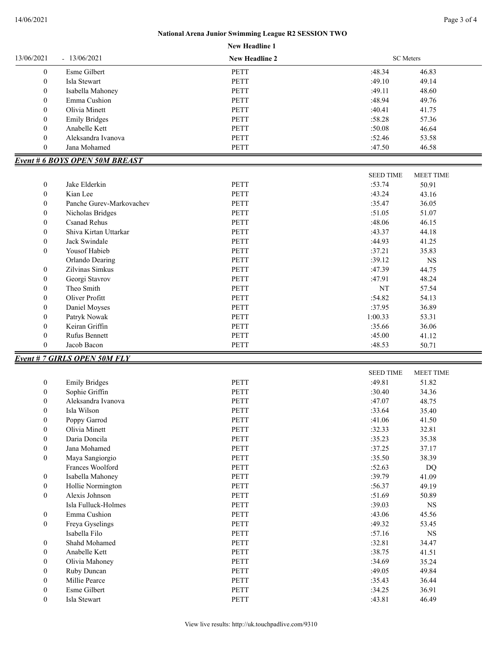## **New Headline 1 National Arena Junior Swimming League R2 SESSION TWO**

| 13/06/2021<br>$-13/06/2021$ |                                       | <b>New Headline 2</b> | <b>SC</b> Meters |                  |
|-----------------------------|---------------------------------------|-----------------------|------------------|------------------|
| $\boldsymbol{0}$            | Esme Gilbert                          | <b>PETT</b>           | :48.34           | 46.83            |
| $\boldsymbol{0}$            | Isla Stewart                          | <b>PETT</b>           | :49.10           | 49.14            |
| $\boldsymbol{0}$            | Isabella Mahoney                      | PETT                  | :49.11           | 48.60            |
| $\boldsymbol{0}$            | Emma Cushion                          | <b>PETT</b>           | :48.94           | 49.76            |
| $\boldsymbol{0}$            | Olivia Minett                         | PETT                  | :40.41           | 41.75            |
| $\boldsymbol{0}$            | <b>Emily Bridges</b>                  | <b>PETT</b>           | :58.28           | 57.36            |
| $\boldsymbol{0}$            | Anabelle Kett                         | <b>PETT</b>           | :50.08           | 46.64            |
| $\boldsymbol{0}$            | Aleksandra Ivanova                    | <b>PETT</b>           | :52.46           | 53.58            |
| $\boldsymbol{0}$            | Jana Mohamed                          | PETT                  | :47.50           | 46.58            |
|                             | <b>Event # 6 BOYS OPEN 50M BREAST</b> |                       |                  |                  |
|                             |                                       |                       | <b>SEED TIME</b> | <b>MEET TIME</b> |
| $\boldsymbol{0}$            | Jake Elderkin                         | <b>PETT</b>           | :53.74           | 50.91            |
| $\boldsymbol{0}$            | Kian Lee                              | <b>PETT</b>           | :43.24           | 43.16            |
| $\boldsymbol{0}$            | Panche Gurev-Markovachev              | PETT                  | :35.47           | 36.05            |
| $\boldsymbol{0}$            | Nicholas Bridges                      | <b>PETT</b>           | :51.05           | 51.07            |
| $\boldsymbol{0}$            | <b>Csanad Rehus</b>                   | PETT                  | :48.06           | 46.15            |
| $\boldsymbol{0}$            | Shiva Kirtan Uttarkar                 | <b>PETT</b>           | :43.37           | 44.18            |
| $\boldsymbol{0}$            | Jack Swindale                         | <b>PETT</b>           | :44.93           | 41.25            |
| $\boldsymbol{0}$            | Yousof Habieb                         | <b>PETT</b>           | :37.21           | 35.83            |
|                             | Orlando Dearing                       | <b>PETT</b>           | :39.12           | $_{\rm NS}$      |
| $\boldsymbol{0}$            | Zilvinas Simkus                       | <b>PETT</b>           | :47.39           | 44.75            |
| $\boldsymbol{0}$            | Georgi Stavrov                        | <b>PETT</b>           | :47.91           | 48.24            |
| $\boldsymbol{0}$            | Theo Smith                            | PETT                  | NT               | 57.54            |
| $\boldsymbol{0}$            | Oliver Profitt                        | PETT                  | :54.82           | 54.13            |
| $\boldsymbol{0}$            | Daniel Moyses                         | PETT                  | :37.95           | 36.89            |
| $\boldsymbol{0}$            | Patryk Nowak                          | <b>PETT</b>           | 1:00.33          | 53.31            |
| $\boldsymbol{0}$            | Keiran Griffin                        | PETT                  | :35.66           | 36.06            |
| $\boldsymbol{0}$            | Rufus Bennett                         | PETT                  | :45.00           | 41.12            |
| $\boldsymbol{0}$            | Jacob Bacon                           | PETT                  | :48.53           | 50.71            |
|                             | Event # 7 GIRLS OPEN 50M FLY          |                       |                  |                  |
|                             |                                       |                       | <b>SEED TIME</b> | MEET TIME        |
| $\boldsymbol{0}$            | <b>Emily Bridges</b>                  | PETT                  | :49.81           | 51.82            |
| $\boldsymbol{0}$            | Sophie Griffin                        | PETT                  | :30.40           | 34.36            |
| $\boldsymbol{0}$            | Aleksandra Ivanova                    | PETT                  | :47.07           | 48.75            |
| $\boldsymbol{0}$            | Isla Wilson                           | PETT                  | :33.64           | 35.40            |
| $\boldsymbol{0}$            | Poppy Garrod                          | PETT                  | :41.06           | 41.50            |
| $\boldsymbol{0}$            | Olivia Minett                         | PETT                  | :32.33           | 32.81            |
| $\boldsymbol{0}$            | Daria Doncila                         | PETT                  | :35.23           | 35.38            |
| $\boldsymbol{0}$            | Jana Mohamed                          | PETT                  | :37.25           | 37.17            |
| $\boldsymbol{0}$            | Maya Sangiorgio                       | PETT                  | :35.50           | 38.39            |
|                             | Frances Woolford                      | PETT                  | :52.63           | DQ               |
| $\boldsymbol{0}$            | Isabella Mahoney                      | PETT                  | :39.79           | 41.09            |
| $\boldsymbol{0}$            | Hollie Normington                     | PETT                  | :56.37           | 49.19            |
| $\boldsymbol{0}$            | Alexis Johnson                        | PETT                  | :51.69           | 50.89            |
|                             | Isla Fulluck-Holmes                   | <b>PETT</b>           | :39.03           | $_{\rm NS}$      |
| $\boldsymbol{0}$            | Emma Cushion                          | PETT                  | :43.06           | 45.56            |
| $\boldsymbol{0}$            | Freya Gyselings                       | PETT                  | :49.32           | 53.45            |
|                             | Isabella Filo                         | PETT                  | :57.16           | $_{\rm NS}$      |
| $\boldsymbol{0}$            | Shahd Mohamed                         | PETT                  | :32.81           | 34.47            |
| $\boldsymbol{0}$            | Anabelle Kett                         | PETT                  | :38.75           | 41.51            |
| $\boldsymbol{0}$            | Olivia Mahoney                        | PETT                  | :34.69           | 35.24            |
| $\boldsymbol{0}$            |                                       |                       | :49.05           |                  |
|                             | Ruby Duncan                           | PETT                  |                  | 49.84            |
| $\boldsymbol{0}$            | Millie Pearce                         | PETT                  | :35.43           | 36.44            |
| $\boldsymbol{0}$            | Esme Gilbert<br>Isla Stewart          | PETT<br>PETT          | :34.25           | 36.91            |